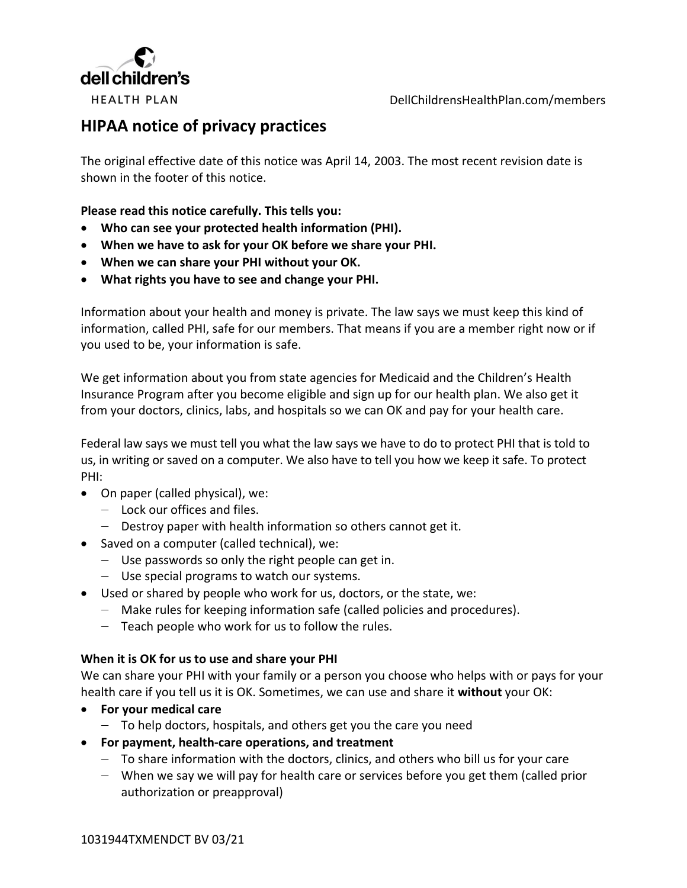

DellChildrensHealthPlan.com/members

# **HIPAA notice of privacy practices**

The original effective date of this notice was April 14, 2003. The most recent revision date is shown in the footer of this notice.

**Please read this notice carefully. This tells you:**

- **Who can see your protected health information (PHI).**
- **When we have to ask for your OK before we share your PHI.**
- **When we can share your PHI without your OK.**
- **What rights you have to see and change your PHI.**

Information about your health and money is private. The law says we must keep this kind of information, called PHI, safe for our members. That means if you are a member right now or if you used to be, your information is safe.

We get information about you from state agencies for Medicaid and the Children's Health Insurance Program after you become eligible and sign up for our health plan. We also get it from your doctors, clinics, labs, and hospitals so we can OK and pay for your health care.

Federal law says we must tell you what the law says we have to do to protect PHI that is told to us, in writing or saved on a computer. We also have to tell you how we keep it safe. To protect PHI:

- On paper (called physical), we:
	- $-$  Lock our offices and files.
	- ‒ Destroy paper with health information so others cannot get it.
- Saved on a computer (called technical), we:
	- ‒ Use passwords so only the right people can get in.
	- ‒ Use special programs to watch our systems.
- Used or shared by people who work for us, doctors, or the state, we:
	- ‒ Make rules for keeping information safe (called policies and procedures).
	- $-$  Teach people who work for us to follow the rules.

#### **When it is OK for us to use and share your PHI**

We can share your PHI with your family or a person you choose who helps with or pays for your health care if you tell us it is OK. Sometimes, we can use and share it **without** your OK:

- **For your medical care**
	- ‒ To help doctors, hospitals, and others get you the care you need
- **For payment, health-care operations, and treatment**
	- ‒ To share information with the doctors, clinics, and others who bill us for your care
	- ‒ When we say we will pay for health care or services before you get them (called prior authorization or preapproval)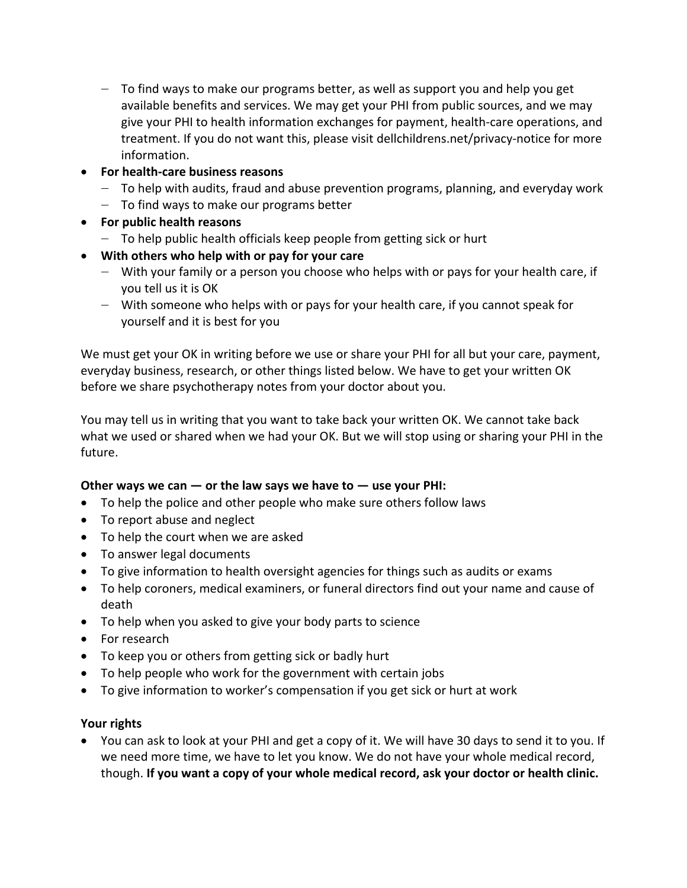- $-$  To find ways to make our programs better, as well as support you and help you get available benefits and services. We may get your PHI from public sources, and we may give your PHI to health information exchanges for payment, health-care operations, and treatment. If you do not want this, please visit [dellchildrens.net/privacy-notice](https://www.dellchildrens.net/privacy-notice/) for more information.
- **For health-care business reasons**
	- $-$  To help with audits, fraud and abuse prevention programs, planning, and everyday work
	- $-$  To find ways to make our programs better
- **For public health reasons**
	- $-$  To help public health officials keep people from getting sick or hurt
- **With others who help with or pay for your care**
	- ‒ With your family or a person you choose who helps with or pays for your health care, if you tell us it is OK
	- ‒ With someone who helps with or pays for your health care, if you cannot speak for yourself and it is best for you

We must get your OK in writing before we use or share your PHI for all but your care, payment, everyday business, research, or other things listed below. We have to get your written OK before we share psychotherapy notes from your doctor about you.

You may tell us in writing that you want to take back your written OK. We cannot take back what we used or shared when we had your OK. But we will stop using or sharing your PHI in the future.

# Other ways we can  $-$  or the law says we have to  $-$  use your PHI:

- To help the police and other people who make sure others follow laws
- To report abuse and neglect
- To help the court when we are asked
- To answer legal documents
- To give information to health oversight agencies for things such as audits or exams
- To help coroners, medical examiners, or funeral directors find out your name and cause of death
- To help when you asked to give your body parts to science
- For research
- To keep you or others from getting sick or badly hurt
- To help people who work for the government with certain jobs
- To give information to worker's compensation if you get sick or hurt at work

# **Your rights**

• You can ask to look at your PHI and get a copy of it. We will have 30 days to send it to you. If we need more time, we have to let you know. We do not have your whole medical record, though. **If you want a copy of your whole medical record, ask your doctor or health clinic.**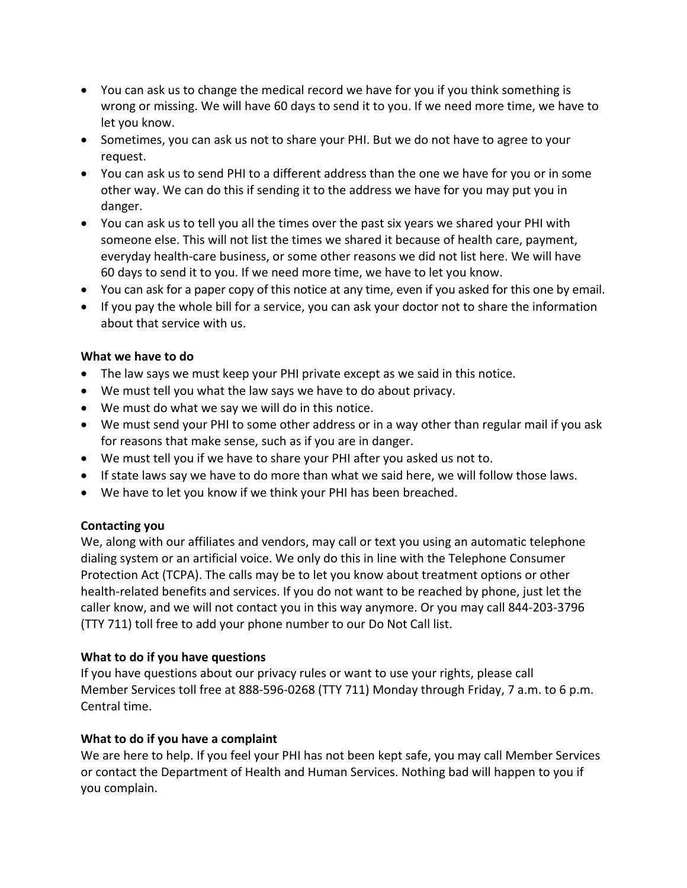- You can ask us to change the medical record we have for you if you think something is wrong or missing. We will have 60 days to send it to you. If we need more time, we have to let you know.
- Sometimes, you can ask us not to share your PHI. But we do not have to agree to your request.
- You can ask us to send PHI to a different address than the one we have for you or in some other way. We can do this if sending it to the address we have for you may put you in danger.
- You can ask us to tell you all the times over the past six years we shared your PHI with someone else. This will not list the times we shared it because of health care, payment, everyday health-care business, or some other reasons we did not list here. We will have 60 days to send it to you. If we need more time, we have to let you know.
- You can ask for a paper copy of this notice at any time, even if you asked for this one by email.
- If you pay the whole bill for a service, you can ask your doctor not to share the information about that service with us.

# **What we have to do**

- The law says we must keep your PHI private except as we said in this notice.
- We must tell you what the law says we have to do about privacy.
- We must do what we say we will do in this notice.
- We must send your PHI to some other address or in a way other than regular mail if you ask for reasons that make sense, such as if you are in danger.
- We must tell you if we have to share your PHI after you asked us not to.
- If state laws say we have to do more than what we said here, we will follow those laws.
- We have to let you know if we think your PHI has been breached.

# **Contacting you**

We, along with our affiliates and vendors, may call or text you using an automatic telephone dialing system or an artificial voice. We only do this in line with the Telephone Consumer Protection Act (TCPA). The calls may be to let you know about treatment options or other health-related benefits and services. If you do not want to be reached by phone, just let the caller know, and we will not contact you in this way anymore. Or you may call 844-203-3796 (TTY 711) toll free to add your phone number to our Do Not Call list.

# **What to do if you have questions**

If you have questions about our privacy rules or want to use your rights, please call Member Services toll free at 888-596-0268 (TTY 711) Monday through Friday, 7 a.m. to 6 p.m. Central time.

# **What to do if you have a complaint**

We are here to help. If you feel your PHI has not been kept safe, you may call Member Services or contact the Department of Health and Human Services. Nothing bad will happen to you if you complain.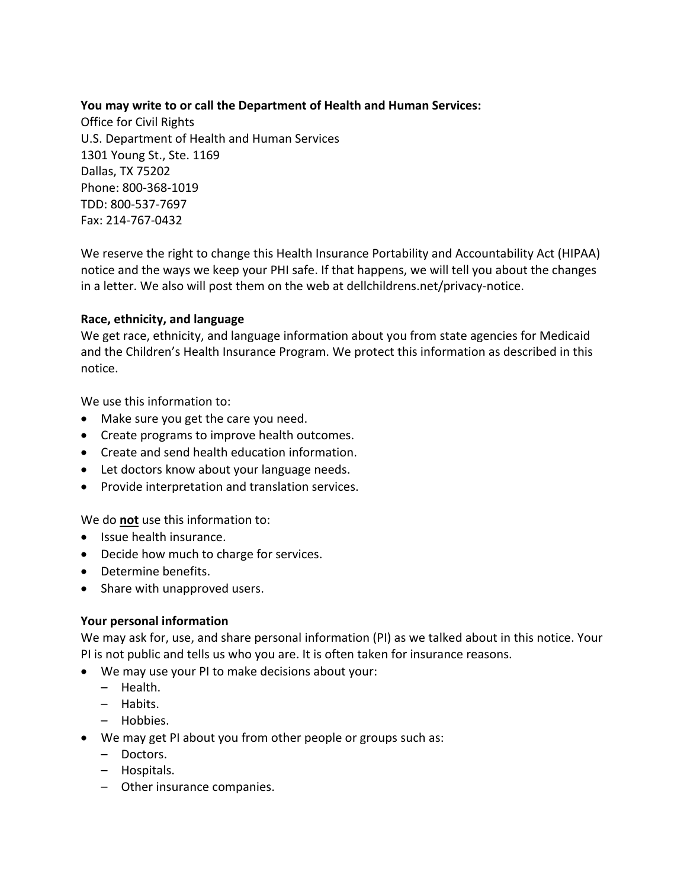#### **You may write to or call the Department of Health and Human Services:**

Office for Civil Rights U.S. Department of Health and Human Services 1301 Young St., Ste. 1169 Dallas, TX 75202 Phone: 800-368-1019 TDD: 800-537-7697 Fax: 214-767-0432

We reserve the right to change this Health Insurance Portability and Accountability Act (HIPAA) notice and the ways we keep your PHI safe. If that happens, we will tell you about the changes in a letter. We also will post them on the web at [dellchildrens.net/privacy-notice.](https://www.dellchildrens.net/privacy-notice/)

#### **Race, ethnicity, and language**

We get race, ethnicity, and language information about you from state agencies for Medicaid and the Children's Health Insurance Program. We protect this information as described in this notice.

We use this information to:

- Make sure you get the care you need.
- Create programs to improve health outcomes.
- Create and send health education information.
- Let doctors know about your language needs.
- Provide interpretation and translation services.

We do **not** use this information to:

- Issue health insurance.
- Decide how much to charge for services.
- Determine benefits.
- Share with unapproved users.

#### **Your personal information**

We may ask for, use, and share personal information (PI) as we talked about in this notice. Your PI is not public and tells us who you are. It is often taken for insurance reasons.

- We may use your PI to make decisions about your:
	- Health.
	- Habits.
	- Hobbies.
- We may get PI about you from other people or groups such as:
	- Doctors.
	- Hospitals.
	- Other insurance companies.